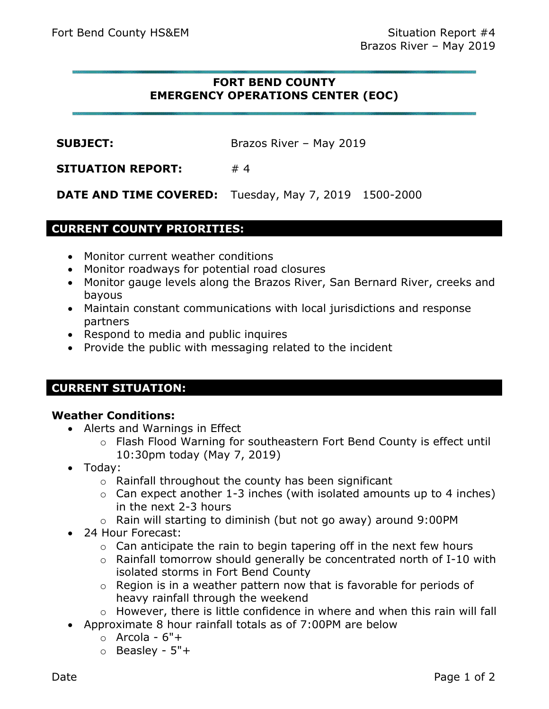# **FORT BEND COUNTY EMERGENCY OPERATIONS CENTER (EOC)**

**SUBJECT:** Brazos River – May 2019

**SITUATION REPORT:** #4

**DATE AND TIME COVERED:** Tuesday, May 7, 2019 1500-2000

# **CURRENT COUNTY PRIORITIES:**

- Monitor current weather conditions
- Monitor roadways for potential road closures
- Monitor gauge levels along the Brazos River, San Bernard River, creeks and bayous
- Maintain constant communications with local jurisdictions and response partners
- Respond to media and public inquires
- Provide the public with messaging related to the incident

# **CURRENT SITUATION:**

### **Weather Conditions:**

- Alerts and Warnings in Effect
	- o Flash Flood Warning for southeastern Fort Bend County is effect until 10:30pm today (May 7, 2019)
- Today:
	- $\circ$  Rainfall throughout the county has been significant
	- $\circ$  Can expect another 1-3 inches (with isolated amounts up to 4 inches) in the next 2-3 hours
	- o Rain will starting to diminish (but not go away) around 9:00PM
- 24 Hour Forecast:
	- $\circ$  Can anticipate the rain to begin tapering off in the next few hours
	- o Rainfall tomorrow should generally be concentrated north of I-10 with isolated storms in Fort Bend County
	- o Region is in a weather pattern now that is favorable for periods of heavy rainfall through the weekend
	- o However, there is little confidence in where and when this rain will fall
- Approximate 8 hour rainfall totals as of 7:00PM are below
	- $\circ$  Arcola  $6"$ +
	- o Beasley 5"+